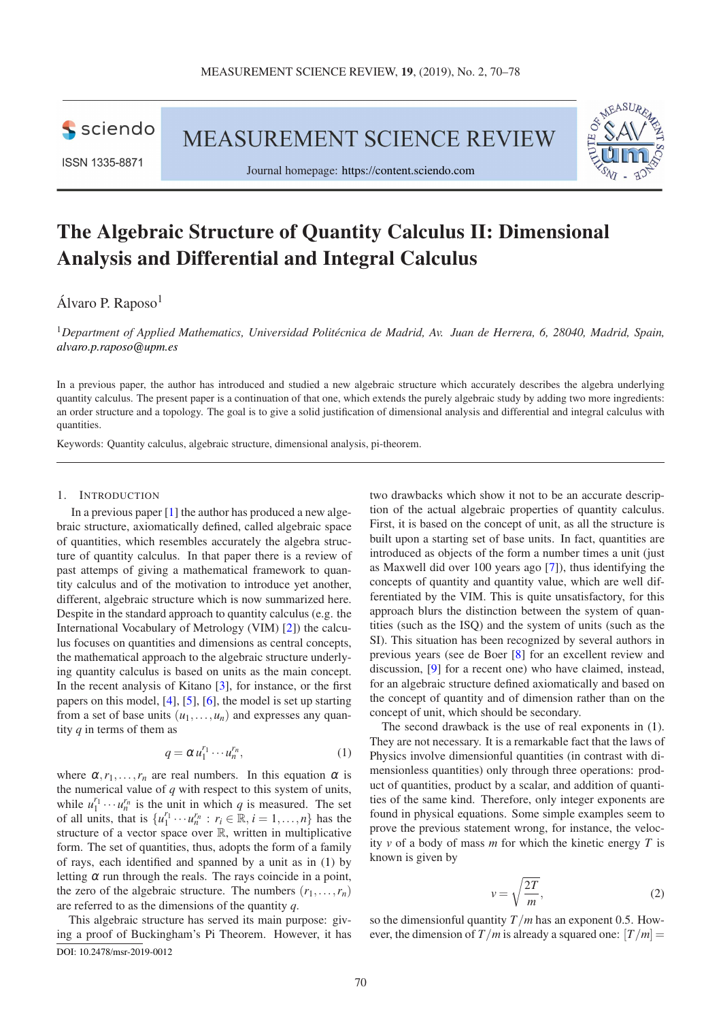

ISSN 1335-8871

MEASUREMENT SCIENCE REVIEW



Journal homepage: [https://content.sciendo.com](https://content.sciendo.com/view/journals/msr/msr-overview.xml)

# **The Algebraic Structure of Quantity Calculus II: Dimensional Analysis and Differential and Integral Calculus**

# Álvaro P. Raposo<sup>1</sup>

<sup>1</sup>*Department of Applied Mathematics, Universidad Politécnica de Madrid, Av. Juan de Herrera, 6, 28040, Madrid, Spain, [alvaro.p.raposo@upm.es](mailto:alvaro.p.raposo@upm.es)*

In a previous paper, the author has introduced and studied a new algebraic structure which accurately describes the algebra underlying quantity calculus. The present paper is a continuation of that one, which extends the purely algebraic study by adding two more ingredients: an order structure and a topology. The goal is to give a solid justification of dimensional analysis and differential and integral calculus with quantities.

Keywords: Quantity calculus, algebraic structure, dimensional analysis, pi-theorem.

#### 1. INTRODUCTION

In a previous paper [\[1\]](#page-8-0) the author has produced a new algebraic structure, axiomatically defined, called algebraic space of quantities, which resembles accurately the algebra structure of quantity calculus. In that paper there is a review of past attemps of giving a mathematical framework to quantity calculus and of the motivation to introduce yet another, different, algebraic structure which is now summarized here. Despite in the standard approach to quantity calculus (e.g. the International Vocabulary of Metrology (VIM) [\[2\]](#page-8-1)) the calculus focuses on quantities and dimensions as central concepts, the mathematical approach to the algebraic structure underlying quantity calculus is based on units as the main concept. In the recent analysis of Kitano [\[3\]](#page-8-2), for instance, or the first papers on this model, [\[4\]](#page-8-3), [\[5\]](#page-8-4), [\[6\]](#page-8-5), the model is set up starting from a set of base units  $(u_1, \ldots, u_n)$  and expresses any quantity *q* in terms of them as

<span id="page-0-0"></span>
$$
q = \alpha u_1^{r_1} \cdots u_n^{r_n},\tag{1}
$$

where  $\alpha, r_1, \ldots, r_n$  are real numbers. In this equation  $\alpha$  is the numerical value of *q* with respect to this system of units, while  $u_1^{r_1} \cdots u_n^{r_n}$  is the unit in which *q* is measured. The set of all units, that is  $\{u_1^{r_1} \cdots u_n^{r_n} : r_i \in \mathbb{R}, i = 1, \ldots, n\}$  has the structure of a vector space over  $\mathbb{R}$ , written in multiplicative form. The set of quantities, thus, adopts the form of a family of rays, each identified and spanned by a unit as in [\(1\)](#page-0-0) by letting  $\alpha$  run through the reals. The rays coincide in a point, the zero of the algebraic structure. The numbers  $(r_1, \ldots, r_n)$ are referred to as the dimensions of the quantity *q*.

This algebraic structure has served its main purpose: giving a proof of Buckingham's Pi Theorem. However, it has [DOI: 10.2478/msr-2019-0012](http://dx.doi.org/10.2478/msr-2019-0012)

two drawbacks which show it not to be an accurate description of the actual algebraic properties of quantity calculus. First, it is based on the concept of unit, as all the structure is built upon a starting set of base units. In fact, quantities are introduced as objects of the form a number times a unit (just as Maxwell did over 100 years ago [\[7\]](#page-8-6)), thus identifying the concepts of quantity and quantity value, which are well differentiated by the VIM. This is quite unsatisfactory, for this approach blurs the distinction between the system of quantities (such as the ISQ) and the system of units (such as the SI). This situation has been recognized by several authors in previous years (see de Boer [\[8\]](#page-8-7) for an excellent review and discussion, [\[9\]](#page-8-8) for a recent one) who have claimed, instead, for an algebraic structure defined axiomatically and based on the concept of quantity and of dimension rather than on the concept of unit, which should be secondary.

The second drawback is the use of real exponents in [\(1\)](#page-0-0). They are not necessary. It is a remarkable fact that the laws of Physics involve dimensionful quantities (in contrast with dimensionless quantities) only through three operations: product of quantities, product by a scalar, and addition of quantities of the same kind. Therefore, only integer exponents are found in physical equations. Some simple examples seem to prove the previous statement wrong, for instance, the velocity *v* of a body of mass *m* for which the kinetic energy *T* is known is given by

$$
v = \sqrt{\frac{2T}{m}},\tag{2}
$$

so the dimensionful quantity *T*/*m* has an exponent 0.5. However, the dimension of  $T/m$  is already a squared one:  $[T/m] =$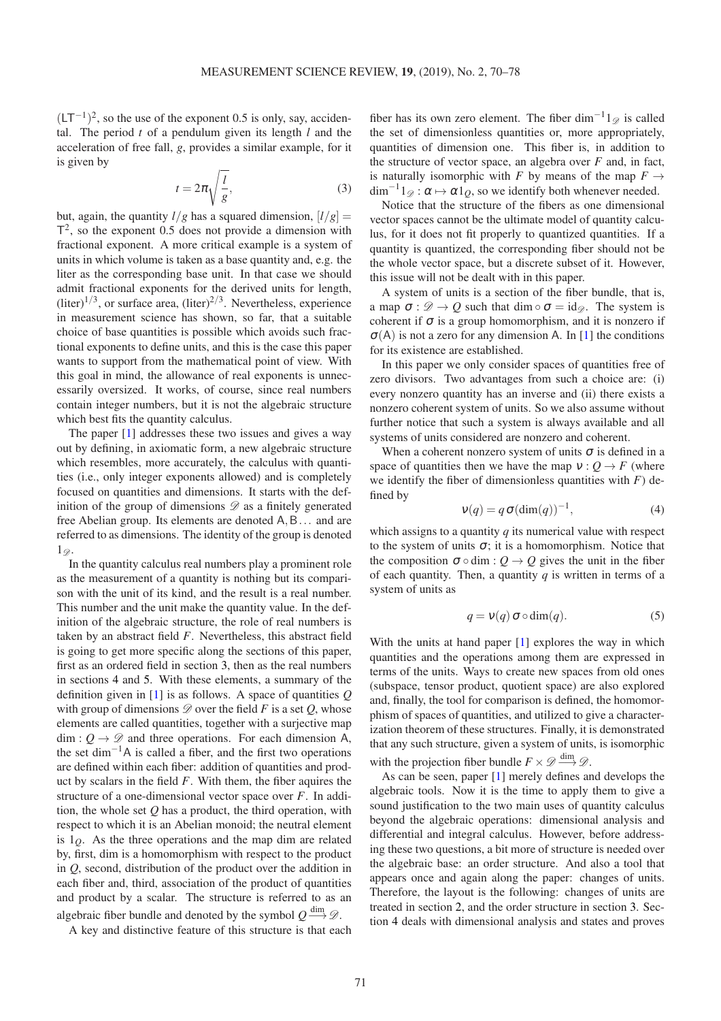$(LT^{-1})^2$ , so the use of the exponent 0.5 is only, say, accidental. The period *t* of a pendulum given its length *l* and the acceleration of free fall, *g*, provides a similar example, for it is given by

$$
t = 2\pi \sqrt{\frac{l}{g}},\tag{3}
$$

but, again, the quantity  $l/g$  has a squared dimension,  $l/g$  = T 2 , so the exponent 0.5 does not provide a dimension with fractional exponent. A more critical example is a system of units in which volume is taken as a base quantity and, e.g. the liter as the corresponding base unit. In that case we should admit fractional exponents for the derived units for length,  $(liter)^{1/3}$ , or surface area,  $(liter)^{2/3}$ . Nevertheless, experience in measurement science has shown, so far, that a suitable choice of base quantities is possible which avoids such fractional exponents to define units, and this is the case this paper wants to support from the mathematical point of view. With this goal in mind, the allowance of real exponents is unnecessarily oversized. It works, of course, since real numbers contain integer numbers, but it is not the algebraic structure which best fits the quantity calculus.

The paper [\[1\]](#page-8-0) addresses these two issues and gives a way out by defining, in axiomatic form, a new algebraic structure which resembles, more accurately, the calculus with quantities (i.e., only integer exponents allowed) and is completely focused on quantities and dimensions. It starts with the definition of the group of dimensions  $\mathscr D$  as a finitely generated free Abelian group. Its elements are denoted A,B... and are referred to as dimensions. The identity of the group is denoted  $1\varnothing$ .

In the quantity calculus real numbers play a prominent role as the measurement of a quantity is nothing but its comparison with the unit of its kind, and the result is a real number. This number and the unit make the quantity value. In the definition of the algebraic structure, the role of real numbers is taken by an abstract field *F*. Nevertheless, this abstract field is going to get more specific along the sections of this paper, first as an ordered field in section [3,](#page-2-0) then as the real numbers in sections [4](#page-5-0) and [5.](#page-7-0) With these elements, a summary of the definition given in [\[1\]](#page-8-0) is as follows. A space of quantities *Q* with group of dimensions  $\mathscr{D}$  over the field *F* is a set *Q*, whose elements are called quantities, together with a surjective map  $\dim: O \to \mathscr{D}$  and three operations. For each dimension A, the set dim<sup>-1</sup>A is called a fiber, and the first two operations are defined within each fiber: addition of quantities and product by scalars in the field *F*. With them, the fiber aquires the structure of a one-dimensional vector space over *F*. In addition, the whole set *Q* has a product, the third operation, with respect to which it is an Abelian monoid; the neutral element is  $1<sub>O</sub>$ . As the three operations and the map dim are related by, first, dim is a homomorphism with respect to the product in *Q*, second, distribution of the product over the addition in each fiber and, third, association of the product of quantities and product by a scalar. The structure is referred to as an algebraic fiber bundle and denoted by the symbol  $Q \stackrel{\text{dim}}{\longrightarrow} \mathscr{D}$ .

A key and distinctive feature of this structure is that each

fiber has its own zero element. The fiber  $\dim^{-1} 1_{\mathscr{D}}$  is called the set of dimensionless quantities or, more appropriately, quantities of dimension one. This fiber is, in addition to the structure of vector space, an algebra over *F* and, in fact, is naturally isomorphic with *F* by means of the map  $F \rightarrow$  $\dim^{-1} 1_{\mathscr{D}} : \alpha \mapsto \alpha 1_Q$ , so we identify both whenever needed.

Notice that the structure of the fibers as one dimensional vector spaces cannot be the ultimate model of quantity calculus, for it does not fit properly to quantized quantities. If a quantity is quantized, the corresponding fiber should not be the whole vector space, but a discrete subset of it. However, this issue will not be dealt with in this paper.

A system of units is a section of the fiber bundle, that is, a map  $\sigma : \mathcal{D} \to Q$  such that dim  $\circ \sigma = id_{\mathcal{D}}$ . The system is coherent if  $\sigma$  is a group homomorphism, and it is nonzero if  $\sigma(A)$  is not a zero for any dimension A. In [\[1\]](#page-8-0) the conditions for its existence are established.

In this paper we only consider spaces of quantities free of zero divisors. Two advantages from such a choice are: (i) every nonzero quantity has an inverse and (ii) there exists a nonzero coherent system of units. So we also assume without further notice that such a system is always available and all systems of units considered are nonzero and coherent.

When a coherent nonzero system of units  $\sigma$  is defined in a space of quantities then we have the map  $v : Q \to F$  (where we identify the fiber of dimensionless quantities with  $F$ ) defined by

<span id="page-1-1"></span>
$$
v(q) = q \sigma(\dim(q))^{-1}, \qquad (4)
$$

which assigns to a quantity *q* its numerical value with respect to the system of units  $\sigma$ ; it is a homomorphism. Notice that the composition  $\sigma \circ \text{dim} : Q \to Q$  gives the unit in the fiber of each quantity. Then, a quantity  $q$  is written in terms of a system of units as

<span id="page-1-0"></span>
$$
q = v(q)\,\sigma \circ \dim(q). \tag{5}
$$

With the units at hand paper [\[1\]](#page-8-0) explores the way in which quantities and the operations among them are expressed in terms of the units. Ways to create new spaces from old ones (subspace, tensor product, quotient space) are also explored and, finally, the tool for comparison is defined, the homomorphism of spaces of quantities, and utilized to give a characterization theorem of these structures. Finally, it is demonstrated that any such structure, given a system of units, is isomorphic with the projection fiber bundle  $F \times \mathscr{D} \xrightarrow{\dim} \mathscr{D}$ .

As can be seen, paper [\[1\]](#page-8-0) merely defines and develops the algebraic tools. Now it is the time to apply them to give a sound justification to the two main uses of quantity calculus beyond the algebraic operations: dimensional analysis and differential and integral calculus. However, before addressing these two questions, a bit more of structure is needed over the algebraic base: an order structure. And also a tool that appears once and again along the paper: changes of units. Therefore, the layout is the following: changes of units are treated in section [2,](#page-2-1) and the order structure in section [3.](#page-2-0) Section [4](#page-5-0) deals with dimensional analysis and states and proves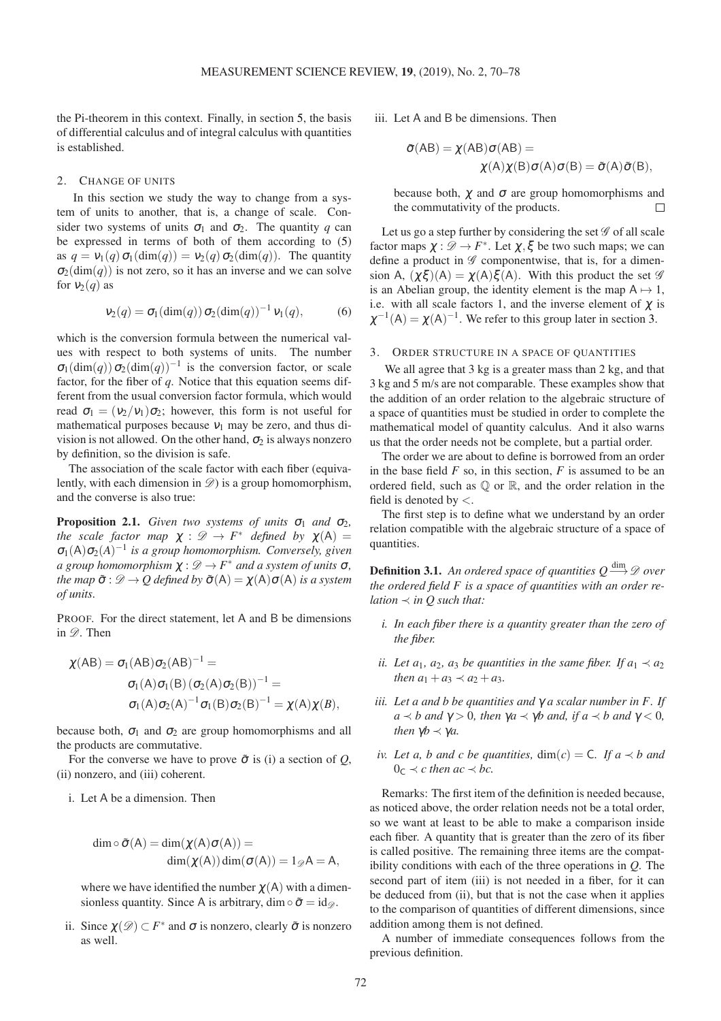the Pi-theorem in this context. Finally, in section [5,](#page-7-0) the basis of differential calculus and of integral calculus with quantities is established.

# <span id="page-2-1"></span>2. CHANGE OF UNITS

In this section we study the way to change from a system of units to another, that is, a change of scale. Consider two systems of units  $\sigma_1$  and  $\sigma_2$ . The quantity *q* can be expressed in terms of both of them according to [\(5\)](#page-1-0) as  $q = v_1(q) \sigma_1(\text{dim}(q)) = v_2(q) \sigma_2(\text{dim}(q))$ . The quantity  $\sigma_2(\text{dim}(q))$  is not zero, so it has an inverse and we can solve for  $v_2(q)$  as

$$
\mathsf{v}_2(q) = \sigma_1(\dim(q)) \sigma_2(\dim(q))^{-1} \mathsf{v}_1(q), \tag{6}
$$

which is the conversion formula between the numerical values with respect to both systems of units. The number  $\sigma_1(\text{dim}(q))\sigma_2(\text{dim}(q))^{-1}$  is the conversion factor, or scale factor, for the fiber of *q*. Notice that this equation seems different from the usual conversion factor formula, which would read  $\sigma_1 = (v_2/v_1)\sigma_2$ ; however, this form is not useful for mathematical purposes because  $v_1$  may be zero, and thus division is not allowed. On the other hand,  $\sigma_2$  is always nonzero by definition, so the division is safe.

The association of the scale factor with each fiber (equivalently, with each dimension in  $\mathcal{D}$ ) is a group homomorphism, and the converse is also true:

**Proposition 2.1.** *Given two systems of units*  $\sigma_1$  *and*  $\sigma_2$ *, the scale factor map*  $\chi : \mathcal{D} \to F^*$  *defined by*  $\chi(A) =$  $\sigma_1(A)\sigma_2(A)^{-1}$  *is a group homomorphism. Conversely, given*  $a$  group homomorphism  $\chi : \mathscr{D} \to F^*$  and a system of units  $\sigma$ , *the map*  $\tilde{\sigma}$  :  $\mathcal{D} \rightarrow Q$  *defined by*  $\tilde{\sigma}(A) = \chi(A)\sigma(A)$  *is a system of units.*

PROOF. For the direct statement, let A and B be dimensions in  $\mathcal{D}$ . Then

$$
\chi(AB) = \sigma_1(AB)\sigma_2(AB)^{-1} =
$$
  
\n
$$
\sigma_1(A)\sigma_1(B)(\sigma_2(A)\sigma_2(B))^{-1} =
$$
  
\n
$$
\sigma_1(A)\sigma_2(A)^{-1}\sigma_1(B)\sigma_2(B)^{-1} = \chi(A)\chi(B),
$$

because both,  $\sigma_1$  and  $\sigma_2$  are group homomorphisms and all the products are commutative.

For the converse we have to prove  $\tilde{\sigma}$  is (i) a section of *Q*, (ii) nonzero, and (iii) coherent.

i. Let A be a dimension. Then

$$
\dim \circ \tilde{\sigma}(A) = \dim(\chi(A)\sigma(A)) =
$$
  

$$
\dim(\chi(A))\dim(\sigma(A)) = 1_{\mathscr{D}}A = A,
$$

where we have identified the number  $\chi(A)$  with a dimensionless quantity. Since A is arbitrary, dim  $\circ \tilde{\sigma} = id_{\mathscr{D}}$ .

ii. Since  $\chi(\mathscr{D}) \subset F^*$  and  $\sigma$  is nonzero, clearly  $\tilde{\sigma}$  is nonzero as well.

iii. Let A and B be dimensions. Then

$$
\tilde{\sigma}(AB) = \chi(AB)\sigma(AB) = \\ \chi(A)\chi(B)\sigma(A)\sigma(B) = \tilde{\sigma}(A)\tilde{\sigma}(B),
$$

because both,  $\chi$  and  $\sigma$  are group homomorphisms and the commutativity of the products.  $\Box$ 

Let us go a step further by considering the set  $\mathscr G$  of all scale factor maps  $\chi : \mathcal{D} \to F^*$ . Let  $\chi, \xi$  be two such maps; we can define a product in  $\mathscr G$  componentwise, that is, for a dimension A,  $(\chi \xi)(A) = \chi(A)\xi(A)$ . With this product the set  $\mathscr G$ is an Abelian group, the identity element is the map  $A \mapsto 1$ , i.e. with all scale factors 1, and the inverse element of  $\chi$  is  $\chi^{-1}(A) = \chi(A)^{-1}$ . We refer to this group later in section [3.](#page-2-0)

# <span id="page-2-0"></span>3. ORDER STRUCTURE IN A SPACE OF QUANTITIES

We all agree that 3 kg is a greater mass than 2 kg, and that 3 kg and 5 m/s are not comparable. These examples show that the addition of an order relation to the algebraic structure of a space of quantities must be studied in order to complete the mathematical model of quantity calculus. And it also warns us that the order needs not be complete, but a partial order.

The order we are about to define is borrowed from an order in the base field *F* so, in this section, *F* is assumed to be an ordered field, such as  $\mathbb{O}$  or  $\mathbb{R}$ , and the order relation in the field is denoted by  $\lt$ .

The first step is to define what we understand by an order relation compatible with the algebraic structure of a space of quantities.

<span id="page-2-2"></span>**Definition 3.1.** An ordered space of quantities  $Q \stackrel{\dim}{\longrightarrow} Q$  over *the ordered field F is a space of quantities with an order relation*  $\prec$  *in Q such that:* 

- *i. In each fiber there is a quantity greater than the zero of the fiber.*
- *ii.* Let  $a_1$ ,  $a_2$ ,  $a_3$  be quantities in the same fiber. If  $a_1 \prec a_2$ *then*  $a_1 + a_3 \prec a_2 + a_3$ .
- *iii. Let a and b be quantities and* γ *a scalar number in F. If*  $a \prec b$  *and*  $\gamma > 0$ *, then*  $\gamma a \prec \gamma b$  *and, if*  $a \prec b$  *and*  $\gamma < 0$ *, then*  $\gamma b \prec \gamma a$ .
- *iv.* Let a, b and c be quantities,  $dim(c) = C$ . If  $a \prec b$  and  $0_c \prec c$  *then ac*  $\prec bc$ .

Remarks: The first item of the definition is needed because, as noticed above, the order relation needs not be a total order, so we want at least to be able to make a comparison inside each fiber. A quantity that is greater than the zero of its fiber is called positive. The remaining three items are the compatibility conditions with each of the three operations in *Q*. The second part of item (iii) is not needed in a fiber, for it can be deduced from (ii), but that is not the case when it applies to the comparison of quantities of different dimensions, since addition among them is not defined.

<span id="page-2-3"></span>A number of immediate consequences follows from the previous definition.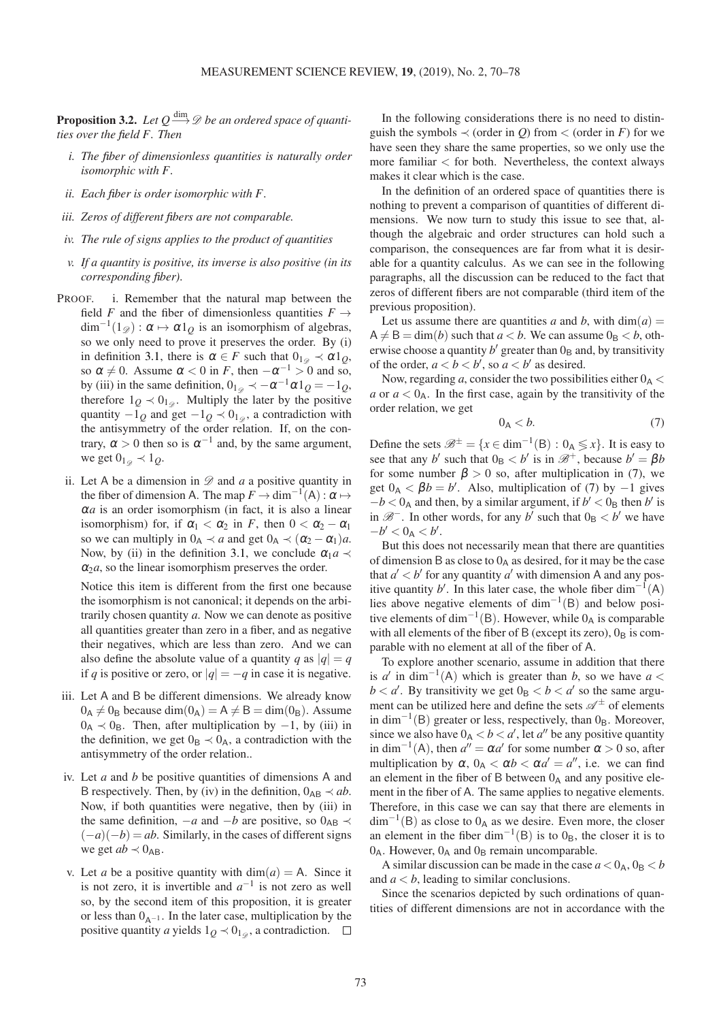**Proposition 3.2.** Let  $Q \stackrel{\dim}{\longrightarrow} \mathscr{D}$  be an ordered space of quanti*ties over the field F. Then*

- *i. The fiber of dimensionless quantities is naturally order isomorphic with F.*
- *ii. Each fiber is order isomorphic with F.*
- *iii. Zeros of different fibers are not comparable.*
- *iv. The rule of signs applies to the product of quantities*
- *v. If a quantity is positive, its inverse is also positive (in its corresponding fiber).*
- PROOF. i. Remember that the natural map between the field *F* and the fiber of dimensionless quantities  $F \rightarrow$  $\dim^{-1}(1_{\mathscr{D}}): \alpha \mapsto \alpha 1_{Q}$  is an isomorphism of algebras, so we only need to prove it preserves the order. By (i) in definition [3.1,](#page-2-2) there is  $\alpha \in F$  such that  $0_{1\alpha} \prec \alpha 1_Q$ , so  $\alpha \neq 0$ . Assume  $\alpha < 0$  in *F*, then  $-\alpha^{-1} > 0$  and so, by (iii) in the same definition,  $0_{1g} \lt -\alpha^{-1} \alpha 1_Q = -1_Q$ , therefore  $1_Q \lt 0_{1_\mathscr{D}}$ . Multiply the later by the positive quantity  $-1_Q$  and get  $-1_Q \prec 0_{1_Q}$ , a contradiction with the antisymmetry of the order relation. If, on the contrary,  $\alpha > 0$  then so is  $\alpha^{-1}$  and, by the same argument, we get  $0_{1\varnothing} \prec 1_Q$ .
- ii. Let A be a dimension in  $\mathscr{D}$  and  $a$  a positive quantity in the fiber of dimension A. The map  $F \to \text{dim}^{-1}(A) : \alpha \mapsto$  $\alpha a$  is an order isomorphism (in fact, it is also a linear isomorphism) for, if  $\alpha_1 < \alpha_2$  in *F*, then  $0 < \alpha_2 - \alpha_1$ so we can multiply in  $0_A \prec a$  and get  $0_A \prec (\alpha_2 - \alpha_1)a$ . Now, by (ii) in the definition [3.1,](#page-2-2) we conclude  $\alpha_1 a \prec$  $\alpha_2 a$ , so the linear isomorphism preserves the order.

Notice this item is different from the first one because the isomorphism is not canonical; it depends on the arbitrarily chosen quantity *a*. Now we can denote as positive all quantities greater than zero in a fiber, and as negative their negatives, which are less than zero. And we can also define the absolute value of a quantity *q* as  $|q| = q$ if *q* is positive or zero, or  $|q| = -q$  in case it is negative.

- iii. Let A and B be different dimensions. We already know  $0_A \neq 0_B$  because dim( $0_A$ ) = A  $\neq$  B = dim( $0_B$ ). Assume  $0_A \lt 0_B$ . Then, after multiplication by −1, by (iii) in the definition, we get  $0_B \lt 0_A$ , a contradiction with the antisymmetry of the order relation..
- iv. Let *a* and *b* be positive quantities of dimensions A and B respectively. Then, by (iv) in the definition,  $0_{AB} \prec ab$ . Now, if both quantities were negative, then by (iii) in the same definition,  $-a$  and  $-b$  are positive, so  $0_{AB} \prec$  $(-a)(-b) = ab$ . Similarly, in the cases of different signs we get  $ab \prec 0_{AB}$ .
- v. Let *a* be a positive quantity with  $dim(a) = A$ . Since it is not zero, it is invertible and  $a^{-1}$  is not zero as well so, by the second item of this proposition, it is greater or less than  $0_{A^{-1}}$ . In the later case, multiplication by the positive quantity *a* yields  $1_Q \lt 0_{1_Q}$ , a contradiction.

In the following considerations there is no need to distinguish the symbols  $\prec$  (order in *O*) from < (order in *F*) for we have seen they share the same properties, so we only use the more familiar  $<$  for both. Nevertheless, the context always makes it clear which is the case.

In the definition of an ordered space of quantities there is nothing to prevent a comparison of quantities of different dimensions. We now turn to study this issue to see that, although the algebraic and order structures can hold such a comparison, the consequences are far from what it is desirable for a quantity calculus. As we can see in the following paragraphs, all the discussion can be reduced to the fact that zeros of different fibers are not comparable (third item of the previous proposition).

Let us assume there are quantities *a* and *b*, with  $dim(a)$  $A \neq B = \dim(b)$  such that  $a < b$ . We can assume  $0_B < b$ , otherwise choose a quantity  $b'$  greater than  $0_B$  and, by transitivity of the order,  $a < b < b'$ , so  $a < b'$  as desired.

Now, regarding *a*, consider the two possibilities either  $0_A <$ *a* or  $a < 0_A$ . In the first case, again by the transitivity of the order relation, we get

<span id="page-3-0"></span>
$$
0_A < b. \tag{7}
$$

Define the sets  $\mathcal{B}^{\pm} = \{x \in \text{dim}^{-1}(\mathsf{B}) : 0_A \leq x\}$ . It is easy to see that any *b*' such that  $0_B < b'$  is in  $\mathcal{B}^+$ , because  $b' = \beta b$ for some number  $\beta > 0$  so, after multiplication in [\(7\)](#page-3-0), we get  $0_A < \beta b = b'$ . Also, multiplication of [\(7\)](#page-3-0) by  $-1$  gives  $-b < 0_A$  and then, by a similar argument, if  $b' < 0_B$  then *b*' is in  $\mathcal{B}^-$ . In other words, for any *b*' such that  $0_B < b'$  we have  $-b' < 0_A < b'.$ 

But this does not necessarily mean that there are quantities of dimension B as close to  $0_A$  as desired, for it may be the case that  $a' < b'$  for any quantity  $a'$  with dimension A and any positive quantity *b'*. In this later case, the whole fiber  $\dim^{-1}(A)$ lies above negative elements of dim<sup>-1</sup>(B) and below positive elements of dim<sup>-1</sup>(B). However, while  $0_A$  is comparable with all elements of the fiber of B (except its zero),  $0_B$  is comparable with no element at all of the fiber of A.

To explore another scenario, assume in addition that there is  $a'$  in dim<sup>-1</sup>(A) which is greater than *b*, so we have  $a <$  $b < a'$ . By transitivity we get  $0_B < b < a'$  so the same argument can be utilized here and define the sets  $\mathscr{A}^{\pm}$  of elements in dim<sup>-1</sup>(B) greater or less, respectively, than  $0_B$ . Moreover, since we also have  $0_A < b < a'$ , let *a*<sup>*''*</sup> be any positive quantity in dim<sup>-1</sup>(A), then  $a'' = \alpha a'$  for some number  $\alpha > 0$  so, after multiplication by  $\alpha$ ,  $0_A < \alpha b < \alpha a' = a''$ , i.e. we can find an element in the fiber of B between  $0_A$  and any positive element in the fiber of A. The same applies to negative elements. Therefore, in this case we can say that there are elements in  $\dim^{-1}(B)$  as close to  $0_A$  as we desire. Even more, the closer an element in the fiber dim<sup>-1</sup>(B) is to  $0_B$ , the closer it is to  $0_A$ . However,  $0_A$  and  $0_B$  remain uncomparable.

A similar discussion can be made in the case  $a < 0_A$ ,  $0_B < b$ and *a* < *b*, leading to similar conclusions.

Since the scenarios depicted by such ordinations of quantities of different dimensions are not in accordance with the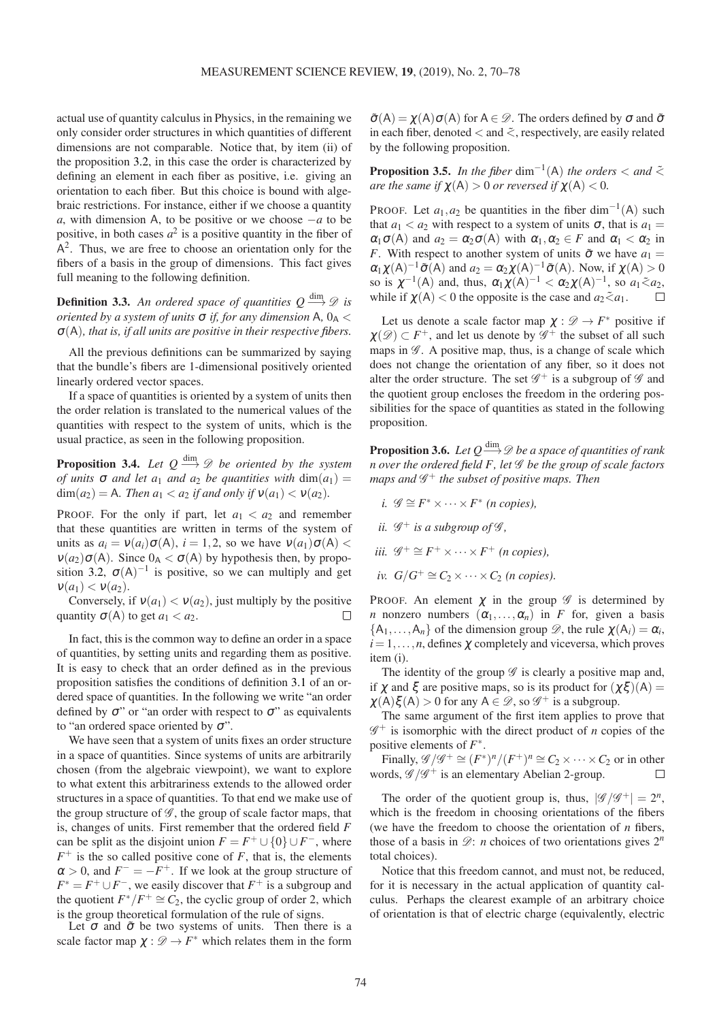actual use of quantity calculus in Physics, in the remaining we only consider order structures in which quantities of different dimensions are not comparable. Notice that, by item (ii) of the proposition [3.2,](#page-2-3) in this case the order is characterized by defining an element in each fiber as positive, i.e. giving an orientation to each fiber. But this choice is bound with algebraic restrictions. For instance, either if we choose a quantity *a*, with dimension A, to be positive or we choose −*a* to be positive, in both cases  $a^2$  is a positive quantity in the fiber of  $A<sup>2</sup>$ . Thus, we are free to choose an orientation only for the fibers of a basis in the group of dimensions. This fact gives full meaning to the following definition.

**Definition 3.3.** An ordered space of quantities  $Q \stackrel{\text{dim}}{\longrightarrow} Q$  is *oriented by a system of units*  $\sigma$  *if, for any dimension* A,  $0_A$  < <sup>σ</sup>(A)*, that is, if all units are positive in their respective fibers.*

All the previous definitions can be summarized by saying that the bundle's fibers are 1-dimensional positively oriented linearly ordered vector spaces.

If a space of quantities is oriented by a system of units then the order relation is translated to the numerical values of the quantities with respect to the system of units, which is the usual practice, as seen in the following proposition.

**Proposition 3.4.** Let  $Q \stackrel{\text{dim}}{\longrightarrow} Q$  be oriented by the system *of units*  $\sigma$  *and let a<sub>1</sub> and a<sub>2</sub> be quantities with*  $dim(a_1) =$  $\dim(a_2) = A$ *. Then*  $a_1 < a_2$  *if and only if*  $v(a_1) < v(a_2)$ *.* 

PROOF. For the only if part, let  $a_1 < a_2$  and remember that these quantities are written in terms of the system of units as  $a_i = v(a_i)\sigma(A)$ ,  $i = 1, 2$ , so we have  $v(a_1)\sigma(A)$  $v(a_2)\sigma(A)$ . Since  $0_A < \sigma(A)$  by hypothesis then, by propo-sition [3.2,](#page-2-3)  $\sigma(A)^{-1}$  is positive, so we can multiply and get  $v(a_1) < v(a_2)$ .

Conversely, if  $v(a_1) < v(a_2)$ , just multiply by the positive quantity  $\sigma(A)$  to get  $a_1 < a_2$ .

In fact, this is the common way to define an order in a space of quantities, by setting units and regarding them as positive. It is easy to check that an order defined as in the previous proposition satisfies the conditions of definition [3.1](#page-2-2) of an ordered space of quantities. In the following we write "an order defined by  $\sigma$ " or "an order with respect to  $\sigma$ " as equivalents to "an ordered space oriented by  $\sigma$ ".

We have seen that a system of units fixes an order structure in a space of quantities. Since systems of units are arbitrarily chosen (from the algebraic viewpoint), we want to explore to what extent this arbitrariness extends to the allowed order structures in a space of quantities. To that end we make use of the group structure of  $\mathscr G$ , the group of scale factor maps, that is, changes of units. First remember that the ordered field *F* can be split as the disjoint union  $F = F^+ \cup \{0\} \cup F^-$ , where  $F^+$  is the so called positive cone of *F*, that is, the elements  $\alpha > 0$ , and  $F^- = -F^+$ . If we look at the group structure of  $F^* = F^+ \cup F^-$ , we easily discover that  $F^+$  is a subgroup and the quotient  $F^*/F^+ \cong C_2$ , the cyclic group of order 2, which is the group theoretical formulation of the rule of signs.

Let  $\sigma$  and  $\tilde{\sigma}$  be two systems of units. Then there is a scale factor map  $\chi : \mathscr{D} \to F^*$  which relates them in the form

 $\tilde{\sigma}(A) = \chi(A)\sigma(A)$  for  $A \in \mathcal{D}$ . The orders defined by  $\sigma$  and  $\tilde{\sigma}$ in each fiber, denoted  $\lt$  and  $\lt$ , respectively, are easily related by the following proposition.

**Proposition 3.5.** *In the fiber* dim<sup>-1</sup>(A) *the orders*  $\lt$  *and*  $\lt$ *are the same if*  $\chi(A) > 0$  *or reversed if*  $\chi(A) < 0$ *.* 

PROOF. Let  $a_1, a_2$  be quantities in the fiber dim<sup>-1</sup>(A) such that  $a_1 < a_2$  with respect to a system of units  $\sigma$ , that is  $a_1 =$  $\alpha_1 \sigma(A)$  and  $a_2 = \alpha_2 \sigma(A)$  with  $\alpha_1, \alpha_2 \in F$  and  $\alpha_1 < \alpha_2$  in *F*. With respect to another system of units  $\tilde{\sigma}$  we have  $a_1 =$  $\alpha_1 \chi(A)^{-1} \tilde{\sigma}(A)$  and  $a_2 = \alpha_2 \chi(A)^{-1} \tilde{\sigma}(A)$ . Now, if  $\chi(A) > 0$ so is  $\chi^{-1}(A)$  and, thus,  $\alpha_1 \chi(A)^{-1} < \alpha_2 \chi(A)^{-1}$ , so  $a_1 \tilde{a}_2$ , while if  $\chi(A) < 0$  the opposite is the case and  $a_2 \tilde{a}_1$ .

Let us denote a scale factor map  $\chi : \mathcal{D} \to F^*$  positive if  $\chi(\mathscr{D}) \subset F^+$ , and let us denote by  $\mathscr{G}^+$  the subset of all such maps in  $\mathscr{G}$ . A positive map, thus, is a change of scale which does not change the orientation of any fiber, so it does not alter the order structure. The set  $\mathscr{G}^+$  is a subgroup of  $\mathscr{G}$  and the quotient group encloses the freedom in the ordering possibilities for the space of quantities as stated in the following proposition.

**Proposition 3.6.** Let  $Q \stackrel{\dim}{\longrightarrow} \mathscr{D}$  be a space of quantities of rank *n over the ordered field F, let* G *be the group of scale factors maps and* G <sup>+</sup> *the subset of positive maps. Then*

i. 
$$
\mathscr{G} \cong F^* \times \cdots \times F^*
$$
 (*n* copies),

- *ii.*  $\mathscr{G}^+$  *is a subgroup of*  $\mathscr{G}$ *,*
- *iii.*  $\mathscr{G}^+ \cong F^+ \times \cdots \times F^+$  *(n copies),*
- *iv.*  $G/G^+ \cong C_2 \times \cdots \times C_2$  *(n copies).*

PROOF. An element  $\chi$  in the group  $\mathscr G$  is determined by *n* nonzero numbers  $(\alpha_1, \ldots, \alpha_n)$  in *F* for, given a basis  $\{A_1, \ldots, A_n\}$  of the dimension group  $\mathscr{D}$ , the rule  $\chi(A_i) = \alpha_i$ ,  $i = 1, \ldots, n$ , defines  $\chi$  completely and viceversa, which proves item (i).

The identity of the group  $\mathscr G$  is clearly a positive map and, if  $\gamma$  and  $\xi$  are positive maps, so is its product for  $(\gamma \xi)(A) =$  $\chi(A)\xi(A) > 0$  for any  $A \in \mathcal{D}$ , so  $\mathcal{G}^+$  is a subgroup.

The same argument of the first item applies to prove that  $\mathscr{G}^+$  is isomorphic with the direct product of *n* copies of the positive elements of  $F^*$ .

Finally,  $\mathscr{G}/\mathscr{G}^+ \cong (F^*)^n/(F^+)^n \cong C_2 \times \cdots \times C_2$  or in other words,  $\mathscr{G}/\mathscr{G}^+$  is an elementary Abelian 2-group.  $\Box$ 

The order of the quotient group is, thus,  $|\mathscr{G}/\mathscr{G}^+| = 2^n$ , which is the freedom in choosing orientations of the fibers (we have the freedom to choose the orientation of *n* fibers, those of a basis in  $\mathcal{D}$ : *n* choices of two orientations gives  $2^n$ total choices).

Notice that this freedom cannot, and must not, be reduced, for it is necessary in the actual application of quantity calculus. Perhaps the clearest example of an arbitrary choice of orientation is that of electric charge (equivalently, electric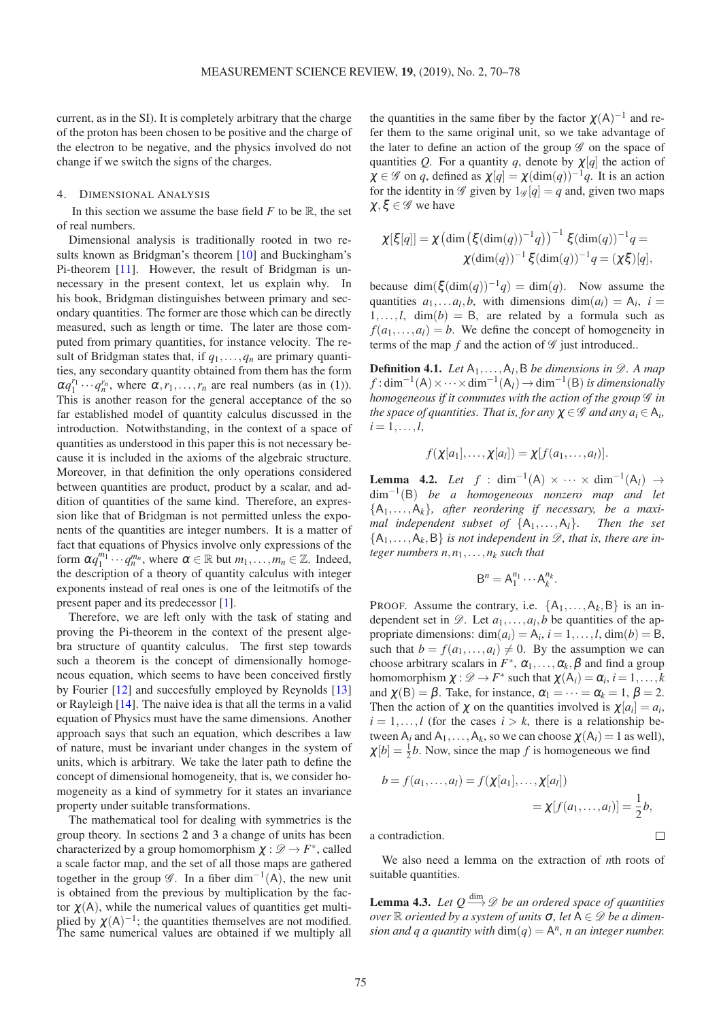current, as in the SI). It is completely arbitrary that the charge of the proton has been chosen to be positive and the charge of the electron to be negative, and the physics involved do not change if we switch the signs of the charges.

## <span id="page-5-0"></span>4. DIMENSIONAL ANALYSIS

In this section we assume the base field  $F$  to be  $\mathbb R$ , the set of real numbers.

Dimensional analysis is traditionally rooted in two results known as Bridgman's theorem [\[10\]](#page-8-9) and Buckingham's Pi-theorem [\[11\]](#page-8-10). However, the result of Bridgman is unnecessary in the present context, let us explain why. In his book, Bridgman distinguishes between primary and secondary quantities. The former are those which can be directly measured, such as length or time. The later are those computed from primary quantities, for instance velocity. The result of Bridgman states that, if  $q_1, \ldots, q_n$  are primary quantities, any secondary quantity obtained from them has the form  $\alpha q_1^{r_1} \cdots q_n^{r_n}$ , where  $\alpha, r_1, \ldots, r_n$  are real numbers (as in [\(1\)](#page-0-0)). This is another reason for the general acceptance of the so far established model of quantity calculus discussed in the introduction. Notwithstanding, in the context of a space of quantities as understood in this paper this is not necessary because it is included in the axioms of the algebraic structure. Moreover, in that definition the only operations considered between quantities are product, product by a scalar, and addition of quantities of the same kind. Therefore, an expression like that of Bridgman is not permitted unless the exponents of the quantities are integer numbers. It is a matter of fact that equations of Physics involve only expressions of the form  $\alpha q_1^{m_1} \cdots q_n^{m_n}$ , where  $\alpha \in \mathbb{R}$  but  $m_1, \ldots, m_n \in \mathbb{Z}$ . Indeed, the description of a theory of quantity calculus with integer exponents instead of real ones is one of the leitmotifs of the present paper and its predecessor [\[1\]](#page-8-0).

Therefore, we are left only with the task of stating and proving the Pi-theorem in the context of the present algebra structure of quantity calculus. The first step towards such a theorem is the concept of dimensionally homogeneous equation, which seems to have been conceived firstly by Fourier [\[12\]](#page-8-11) and succesfully employed by Reynolds [\[13\]](#page-8-12) or Rayleigh [\[14\]](#page-8-13). The naive idea is that all the terms in a valid equation of Physics must have the same dimensions. Another approach says that such an equation, which describes a law of nature, must be invariant under changes in the system of units, which is arbitrary. We take the later path to define the concept of dimensional homogeneity, that is, we consider homogeneity as a kind of symmetry for it states an invariance property under suitable transformations.

The mathematical tool for dealing with symmetries is the group theory. In sections [2](#page-2-1) and [3](#page-2-0) a change of units has been characterized by a group homomorphism  $\chi : \mathscr{D} \to F^*$ , called a scale factor map, and the set of all those maps are gathered together in the group  $\mathscr G$ . In a fiber dim<sup>-1</sup>(A), the new unit is obtained from the previous by multiplication by the factor  $\chi(A)$ , while the numerical values of quantities get multiplied by  $\chi(A)^{-1}$ ; the quantities themselves are not modified. The same numerical values are obtained if we multiply all

the quantities in the same fiber by the factor  $\chi(A)^{-1}$  and refer them to the same original unit, so we take advantage of the later to define an action of the group  $\mathscr G$  on the space of quantities *Q*. For a quantity *q*, denote by  $\chi[q]$  the action of  $\chi \in \mathscr{G}$  on *q*, defined as  $\chi[q] = \chi(\text{dim}(q))^{-1}q$ . It is an action for the identity in  $\mathscr G$  given by  $1_{\mathscr G}[q] = q$  and, given two maps  $\chi, \xi \in \mathscr{G}$  we have

$$
\chi[\xi[q]] = \chi \left( \dim \left( \xi(\dim(q))^{-1} q \right) \right)^{-1} \xi(\dim(q))^{-1} q =
$$
  
 
$$
\chi(\dim(q))^{-1} \xi(\dim(q))^{-1} q = (\chi \xi)[q],
$$

because dim( $\xi$ (dim(q))<sup>-1</sup>q) = dim(q). Now assume the quantities  $a_1, \ldots, a_l, b$ , with dimensions  $\dim(a_i) = A_i$ ,  $i =$  $1, \ldots, l$ , dim(b) = B, are related by a formula such as  $f(a_1,...,a_l) = b$ . We define the concept of homogeneity in terms of the map  $f$  and the action of  $\mathscr G$  just introduced..

**Definition 4.1.** *Let*  $A_1, \ldots, A_l$ , B *be dimensions in*  $\mathcal{D}$ *. A map*  $f$  : dim<sup>-1</sup>(A) × · · · × dim<sup>-1</sup>(A<sub>l</sub>) → dim<sup>-1</sup>(B) *is dimensionally homogeneous if it commutes with the action of the group*  $\mathscr G$  *in the space of quantities. That is, for any*  $\chi \in \mathscr{G}$  *and any*  $a_i \in A_i$ ,  $i = 1, \ldots, l,$ 

$$
f(\chi[a_1],\ldots,\chi[a_l])=\chi[f(a_1,\ldots,a_l)].
$$

<span id="page-5-1"></span>**Lemma 4.2.** *Let*  $f : \dim^{-1}(A) \times \cdots \times \dim^{-1}(A) \rightarrow$ dim−<sup>1</sup> (B) *be a homogeneous nonzero map and let* {A1,...,A*k*}*, after reordering if necessary, be a maximal independent subset of* {A1,...,A*l*}*. Then the set*  ${A_1, \ldots, A_k, B}$  *is not independent in*  $\mathcal{D}$ *, that is, there are integer numbers*  $n, n_1, \ldots, n_k$  *such that* 

$$
B^n = A_1^{n_1} \cdots A_k^{n_k}.
$$

PROOF. Assume the contrary, i.e.  $\{A_1, \ldots, A_k, B\}$  is an independent set in  $\mathscr{D}$ . Let  $a_1, \ldots, a_l, b$  be quantities of the appropriate dimensions:  $dim(a_i) = A_i$ ,  $i = 1, ..., l$ ,  $dim(b) = B$ , such that  $b = f(a_1, \ldots, a_l) \neq 0$ . By the assumption we can choose arbitrary scalars in  $F^*$ ,  $\alpha_1, \ldots, \alpha_k, \beta$  and find a group homomorphism  $\chi : \mathcal{D} \to F^*$  such that  $\chi(A_i) = \alpha_i, i = 1, \ldots, k$ and  $\chi(B) = \beta$ . Take, for instance,  $\alpha_1 = \cdots = \alpha_k = 1, \beta = 2$ . Then the action of  $\chi$  on the quantities involved is  $\chi[a_i] = a_i$ ,  $i = 1, \ldots, l$  (for the cases  $i > k$ , there is a relationship between  $A_i$  and  $A_1, \ldots, A_k$ , so we can choose  $\chi(A_i) = 1$  as well),  $\chi[b] = \frac{1}{2}b$ . Now, since the map *f* is homogeneous we find

$$
b = f(a_1,...,a_l) = f(\chi[a_1],..., \chi[a_l])
$$
  
=  $\chi[f(a_1,...,a_l)] = \frac{1}{2}b$ ,

 $\Box$ 

a contradiction.

We also need a lemma on the extraction of *n*th roots of suitable quantities.

**Lemma 4.3.** *Let*  $Q \stackrel{\text{dim}}{\longrightarrow} \mathscr{D}$  *be an ordered space of quantities*  $over \mathbb{R}$  *oriented by a system of units*  $\sigma$ *, let*  $A \in \mathscr{D}$  *be a dimension and q a quantity with*  $dim(q) = A<sup>n</sup>$ *, n an integer number.*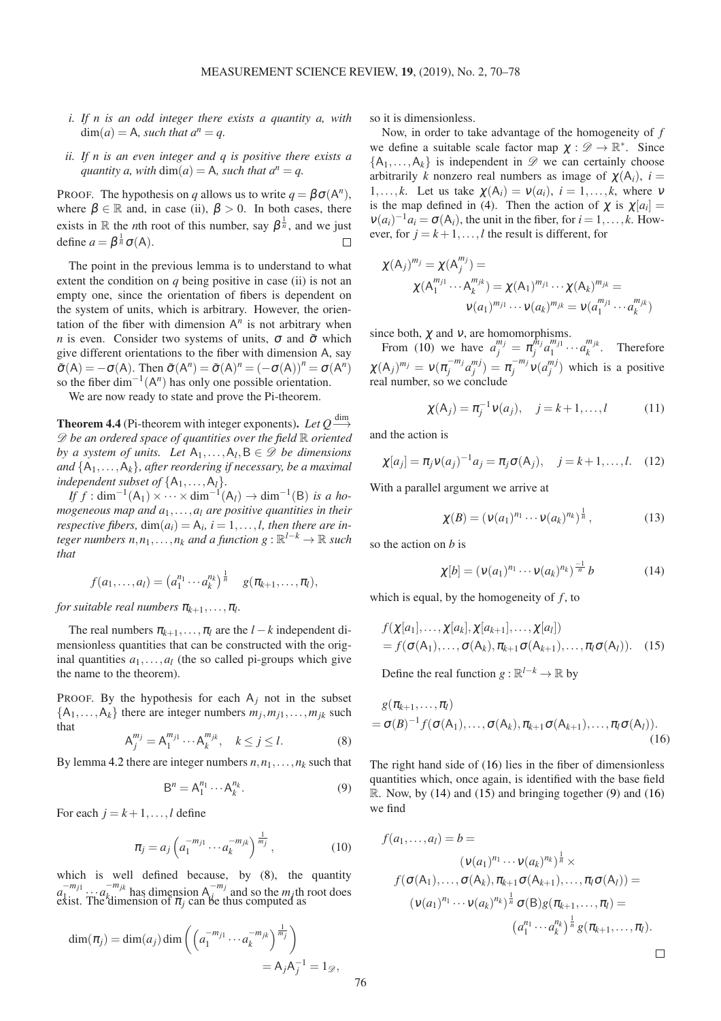- *i. If n is an odd integer there exists a quantity a, with*  $\dim(a) = A$ *, such that*  $a^n = a$ *.*
- *ii. If n is an even integer and q is positive there exists a quantity a, with*  $\dim(a) = A$ *, such that*  $a^n = q$ *.*

PROOF. The hypothesis on *q* allows us to write  $q = \beta \sigma(A^n)$ , where  $\beta \in \mathbb{R}$  and, in case (ii),  $\beta > 0$ . In both cases, there exists in  $\mathbb R$  the *n*th root of this number, say  $\beta^{\frac{1}{n}}$ , and we just define  $a = \beta^{\frac{1}{n}} \sigma(A)$ .  $\Box$ 

The point in the previous lemma is to understand to what extent the condition on *q* being positive in case (ii) is not an empty one, since the orientation of fibers is dependent on the system of units, which is arbitrary. However, the orientation of the fiber with dimension  $A<sup>n</sup>$  is not arbitrary when *n* is even. Consider two systems of units,  $\sigma$  and  $\tilde{\sigma}$  which give different orientations to the fiber with dimension A, say  $\tilde{\sigma}(A) = -\sigma(A)$ . Then  $\tilde{\sigma}(A^n) = \tilde{\sigma}(A)^n = (-\sigma(A))^n = \sigma(A^n)$ so the fiber dim<sup>-1</sup>( $A^n$ ) has only one possible orientation.

We are now ready to state and prove the Pi-theorem.

**Theorem 4.4** (Pi-theorem with integer exponents). Let  $Q \stackrel{\text{dim}}{\longrightarrow}$ D *be an ordered space of quantities over the field* R *oriented by a system of units.* Let  $A_1, \ldots, A_l, B \in \mathcal{D}$  *be dimensions and* {A1,...,A*k*}*, after reordering if necessary, be a maximal independent subset of*  $\{A_1, \ldots, A_l\}$ *.* 

 $\textit{If } f: \text{dim}^{-1}(\mathsf{A}_1) \times \cdots \times \text{dim}^{-1}(\mathsf{A}_l) \to \text{dim}^{-1}(\mathsf{B}) \text{ is a holomorphic.}$ *mogeneous map and a*1,...,*a<sup>l</sup> are positive quantities in their respective fibers,*  $dim(a_i) = A_i$ ,  $i = 1, ..., l$ , then there are in $teger$  numbers  $n, n_1, \ldots, n_k$  and a function  $g: \mathbb{R}^{l-k} \to \mathbb{R}$  such *that*

$$
f(a_1,...,a_l) = (a_1^{n_1} \cdots a_k^{n_k})^{\frac{1}{n}} \quad g(\pi_{k+1},\ldots,\pi_l),
$$

*for suitable real numbers*  $\pi_{k+1}, \ldots, \pi_l$ .

The real numbers  $\pi_{k+1}, \ldots, \pi_l$  are the *l* − *k* independent dimensionless quantities that can be constructed with the original quantities  $a_1, \ldots, a_l$  (the so called pi-groups which give the name to the theorem).

<span id="page-6-0"></span>PROOF. By the hypothesis for each  $A_i$  not in the subset  ${A_1, \ldots, A_k}$  there are integer numbers  $m_j, m_{j1}, \ldots, m_{jk}$  such that

$$
A_j^{m_j} = A_1^{m_{j1}} \cdots A_k^{m_{jk}}, \quad k \le j \le l.
$$
 (8)

By lemma [4.2](#page-5-1) there are integer numbers  $n, n_1, \ldots, n_k$  such that

<span id="page-6-1"></span>
$$
\mathsf{B}^n = \mathsf{A}_1^{n_1} \cdots \mathsf{A}_k^{n_k}.\tag{9}
$$

For each  $j = k+1, \ldots, l$  define

$$
\pi_j = a_j \left( a_1^{-m_{j1}} \cdots a_k^{-m_{jk}} \right)^{\frac{1}{m_j}}, \tag{10}
$$

which is well defined because, by [\(8\)](#page-6-0), the quantity  $a_1^{m_{j1}} \cdots a_{k}^{m_{jk}}$ <br>
crist The klim  $a_1^{-m_{j1}} \cdots a_k^{-m_{jk}}$  has dimension  $A^{-m_j}$  and so the *m<sub>j</sub>*th root does exist. The dimension of  $\pi_j$  can be thus computed as

$$
\dim(\pi_j) = \dim(a_j) \dim\left( \left( a_1^{-m_{j1}} \cdots a_k^{-m_{jk}} \right)^{\frac{1}{m_j}} \right)
$$
  
=  $A_j A_j^{-1} = 1_{\mathscr{D}}$ ,

so it is dimensionless.

Now, in order to take advantage of the homogeneity of *f* we define a suitable scale factor map  $\chi : \mathscr{D} \to \mathbb{R}^*$ . Since  $\{A_1, \ldots, A_k\}$  is independent in  $\mathscr{D}$  we can certainly choose arbitrarily *k* nonzero real numbers as image of  $\chi(A_i)$ ,  $i =$ 1,..., *k*. Let us take  $\chi(A_i) = \nu(a_i)$ ,  $i = 1, \ldots, k$ , where  $\nu$ is the map defined in [\(4\)](#page-1-1). Then the action of  $\chi$  is  $\chi[a_i] =$  $v(a_i)^{-1}a_i = \sigma(A_i)$ , the unit in the fiber, for  $i = 1, \ldots, k$ . However, for  $j = k+1, \ldots, l$  the result is different, for

$$
\chi(A_j)^{m_j} = \chi(A_j^{m_j}) =
$$
  
\n
$$
\chi(A_1^{m_{j1}} \cdots A_k^{m_{jk}}) = \chi(A_1)^{m_{j1}} \cdots \chi(A_k)^{m_{jk}} =
$$
  
\n
$$
v(a_1)^{m_{j1}} \cdots v(a_k)^{m_{jk}} = v(a_1^{m_{j1}} \cdots a_k^{m_{jk}})
$$

since both,  $\chi$  and  $v$ , are homomorphisms.

From [\(10\)](#page-6-1) we have  $a_j^{m_j} = \pi_j^{\frac{m_j}{j}} a_1^{m_{j1}} \cdots a_k^{m_{jk}}$  $\int_{k}^{m_{jk}}$ . Therefore  $\chi(A_j)^{m_j} = \nu(\pi_j^{-m_j} a_j^{m_j}) = \pi_j^{-m_j} \nu(a_j^{m_j})$  which is a positive real number, so we conclude

$$
\chi(A_j) = \pi_j^{-1} \nu(a_j), \quad j = k+1, ..., l \tag{11}
$$

and the action is

$$
\chi[a_j] = \pi_j v(a_j)^{-1} a_j = \pi_j \sigma(A_j), \quad j = k+1, ..., l.
$$
 (12)

With a parallel argument we arrive at

$$
\chi(B) = (v(a_1)^{n_1} \cdots v(a_k)^{n_k})^{\frac{1}{n}},
$$
\n(13)

so the action on *b* is

<span id="page-6-4"></span><span id="page-6-3"></span>
$$
\chi[b] = (\nu(a_1)^{n_1} \cdots \nu(a_k)^{n_k})^{\frac{-1}{n}} b \tag{14}
$$

which is equal, by the homogeneity of  $f$ , to

$$
f(\chi[a_1], \ldots, \chi[a_k], \chi[a_{k+1}], \ldots, \chi[a_l])
$$
  
=  $f(\sigma(A_1), \ldots, \sigma(A_k), \pi_{k+1}\sigma(A_{k+1}), \ldots, \pi_l\sigma(A_l)).$  (15)

Define the real function *g* :  $\mathbb{R}^{l-k} \to \mathbb{R}$  by

$$
g(\pi_{k+1},\ldots,\pi_l)
$$
  
=  $\sigma(B)^{-1} f(\sigma(A_1),\ldots,\sigma(A_k),\pi_{k+1}\sigma(A_{k+1}),\ldots,\pi_l\sigma(A_l)).$  (16)

<span id="page-6-5"></span>The right hand side of [\(16\)](#page-6-2) lies in the fiber of dimensionless quantities which, once again, is identified with the base field R. Now, by  $(14)$  and  $(15)$  and bringing together  $(9)$  and  $(16)$ we find

$$
f(a_1,...,a_l) = b =
$$
  
\n
$$
(v(a_1)^{n_1} \cdots v(a_k)^{n_k})^{\frac{1}{n}} \times
$$
  
\n
$$
f(\sigma(A_1),..., \sigma(A_k), \pi_{k+1}\sigma(A_{k+1}),..., \pi_l\sigma(A_l)) =
$$
  
\n
$$
(v(a_1)^{n_1} \cdots v(a_k)^{n_k})^{\frac{1}{n}} \sigma(B)g(\pi_{k+1},..., \pi_l) =
$$
  
\n
$$
(a_1^{n_1} \cdots a_k^{n_k})^{\frac{1}{n}} g(\pi_{k+1},..., \pi_l).
$$

<span id="page-6-2"></span> $\Box$ 

76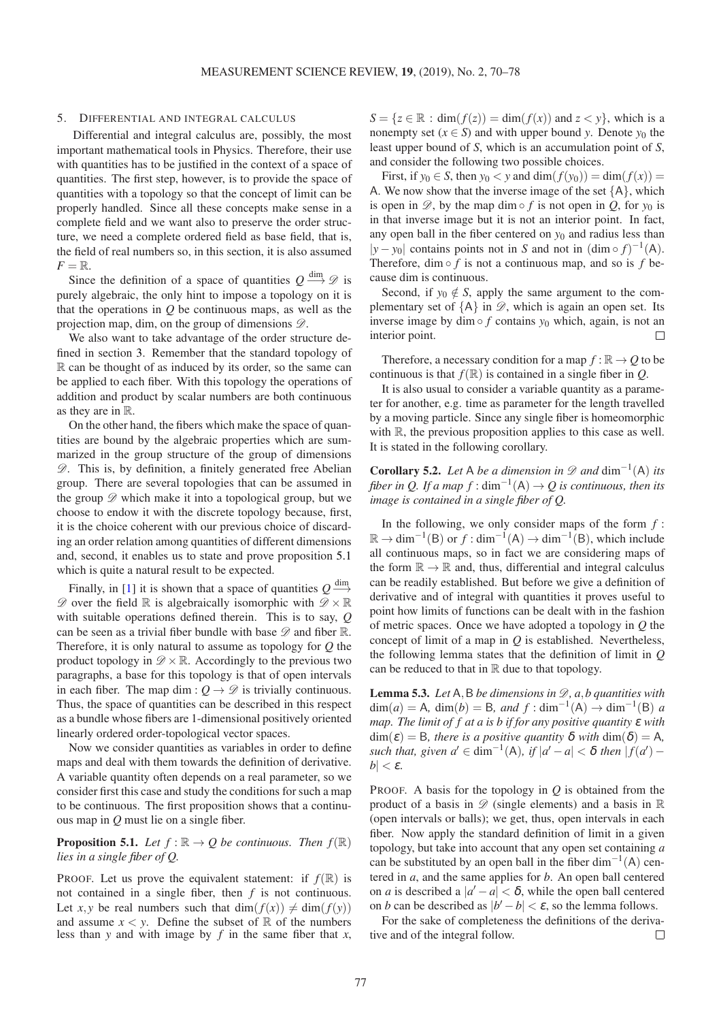#### <span id="page-7-0"></span>5. DIFFERENTIAL AND INTEGRAL CALCULUS

Differential and integral calculus are, possibly, the most important mathematical tools in Physics. Therefore, their use with quantities has to be justified in the context of a space of quantities. The first step, however, is to provide the space of quantities with a topology so that the concept of limit can be properly handled. Since all these concepts make sense in a complete field and we want also to preserve the order structure, we need a complete ordered field as base field, that is, the field of real numbers so, in this section, it is also assumed  $F = \mathbb{R}$ .

Since the definition of a space of quantities  $Q \stackrel{\text{dim}}{\longrightarrow} \mathscr{D}$  is purely algebraic, the only hint to impose a topology on it is that the operations in *Q* be continuous maps, as well as the projection map, dim, on the group of dimensions  $\mathscr{D}$ .

We also want to take advantage of the order structure defined in section [3.](#page-2-0) Remember that the standard topology of  $\mathbb R$  can be thought of as induced by its order, so the same can be applied to each fiber. With this topology the operations of addition and product by scalar numbers are both continuous as they are in R.

On the other hand, the fibers which make the space of quantities are bound by the algebraic properties which are summarized in the group structure of the group of dimensions  $\mathscr{D}$ . This is, by definition, a finitely generated free Abelian group. There are several topologies that can be assumed in the group  $\mathscr D$  which make it into a topological group, but we choose to endow it with the discrete topology because, first, it is the choice coherent with our previous choice of discarding an order relation among quantities of different dimensions and, second, it enables us to state and prove proposition [5.1](#page-7-1) which is quite a natural result to be expected.

Finally, in [\[1\]](#page-8-0) it is shown that a space of quantities  $Q \stackrel{\text{dim}}{\longrightarrow}$  $\mathscr{D}$  over the field  $\mathbb R$  is algebraically isomorphic with  $\mathscr{D} \times \mathbb R$ with suitable operations defined therein. This is to say, *Q* can be seen as a trivial fiber bundle with base  $\mathscr D$  and fiber  $\mathbb R$ . Therefore, it is only natural to assume as topology for *Q* the product topology in  $\mathscr{D} \times \mathbb{R}$ . Accordingly to the previous two paragraphs, a base for this topology is that of open intervals in each fiber. The map dim :  $Q \rightarrow \mathcal{D}$  is trivially continuous. Thus, the space of quantities can be described in this respect as a bundle whose fibers are 1-dimensional positively oriented linearly ordered order-topological vector spaces.

Now we consider quantities as variables in order to define maps and deal with them towards the definition of derivative. A variable quantity often depends on a real parameter, so we consider first this case and study the conditions for such a map to be continuous. The first proposition shows that a continuous map in *Q* must lie on a single fiber.

<span id="page-7-1"></span>**Proposition 5.1.** *Let*  $f : \mathbb{R} \to Q$  *be continuous. Then*  $f(\mathbb{R})$ *lies in a single fiber of Q.*

PROOF. Let us prove the equivalent statement: if  $f(\mathbb{R})$  is not contained in a single fiber, then *f* is not continuous. Let *x*, *y* be real numbers such that  $\dim(f(x)) \neq \dim(f(y))$ and assume  $x < y$ . Define the subset of R of the numbers less than *y* and with image by *f* in the same fiber that *x*,  $S = \{z \in \mathbb{R} : \dim(f(z)) = \dim(f(x)) \text{ and } z < y\}$ , which is a nonempty set ( $x \in S$ ) and with upper bound *y*. Denote  $y_0$  the least upper bound of *S*, which is an accumulation point of *S*, and consider the following two possible choices.

First, if  $y_0 \in S$ , then  $y_0 < y$  and dim $(f(y_0)) = \dim(f(x)) =$ A. We now show that the inverse image of the set  ${A}$ , which is open in  $\mathscr{D}$ , by the map dim  $\circ$  *f* is not open in *Q*, for *y*<sub>0</sub> is in that inverse image but it is not an interior point. In fact, any open ball in the fiber centered on  $y_0$  and radius less than  $|y - y_0|$  contains points not in *S* and not in  $(\dim ∘ f)^{-1}(A)$ . Therefore, dim  $\circ$  *f* is not a continuous map, and so is *f* because dim is continuous.

Second, if  $y_0 \notin S$ , apply the same argument to the complementary set of  ${A}$  in  $\mathcal{D}$ , which is again an open set. Its inverse image by dim ◦ *f* contains *y*<sup>0</sup> which, again, is not an interior point.  $\Box$ 

Therefore, a necessary condition for a map  $f : \mathbb{R} \to Q$  to be continuous is that  $f(\mathbb{R})$  is contained in a single fiber in *Q*.

It is also usual to consider a variable quantity as a parameter for another, e.g. time as parameter for the length travelled by a moving particle. Since any single fiber is homeomorphic with R, the previous proposition applies to this case as well. It is stated in the following corollary.

**Corollary 5.2.** *Let* A *be a dimension in*  $\mathscr{D}$  *and*  $\dim^{-1}(A)$  *its* fiber in Q. If a map  $f : \dim^{-1}(\mathsf{A}) \to Q$  is continuous, then its *image is contained in a single fiber of Q.*

In the following, we only consider maps of the form *f* :  $\mathbb{R} \to \text{dim}^{-1}(\mathsf{B})$  or  $f : \text{dim}^{-1}(\mathsf{A}) \to \text{dim}^{-1}(\mathsf{B})$ , which include all continuous maps, so in fact we are considering maps of the form  $\mathbb{R} \to \mathbb{R}$  and, thus, differential and integral calculus can be readily established. But before we give a definition of derivative and of integral with quantities it proves useful to point how limits of functions can be dealt with in the fashion of metric spaces. Once we have adopted a topology in *Q* the concept of limit of a map in *Q* is established. Nevertheless, the following lemma states that the definition of limit in *Q* can be reduced to that in  $\mathbb R$  due to that topology.

**Lemma 5.3.** *Let* A, B *be dimensions in*  $\mathcal{D}$ , *a*, *b* quantities with  $\dim(a) = A$ ,  $\dim(b) = B$ , and  $f : \dim^{-1}(A) \to \dim^{-1}(B)$  a *map. The limit of f at a is b if for any positive quantity* <sup>ε</sup> *with*  $\dim(\mathcal{E}) = B$ *, there is a positive quantity*  $\delta$  *with*  $\dim(\delta) = A$ *, such that, given*  $a' \in \text{dim}^{-1}(A)$ , if  $|a'-a| < \delta$  then  $|f(a') |b| < \varepsilon$ *.* 

PROOF. A basis for the topology in *Q* is obtained from the product of a basis in  $\mathscr{D}$  (single elements) and a basis in  $\mathbb R$ (open intervals or balls); we get, thus, open intervals in each fiber. Now apply the standard definition of limit in a given topology, but take into account that any open set containing *a* can be substituted by an open ball in the fiber  $\dim^{-1}(A)$  centered in *a*, and the same applies for *b*. An open ball centered on *a* is described a  $|a'-a| < \delta$ , while the open ball centered on *b* can be described as  $|b'-b| < \varepsilon$ , so the lemma follows.

For the sake of completeness the definitions of the derivative and of the integral follow.  $\Box$